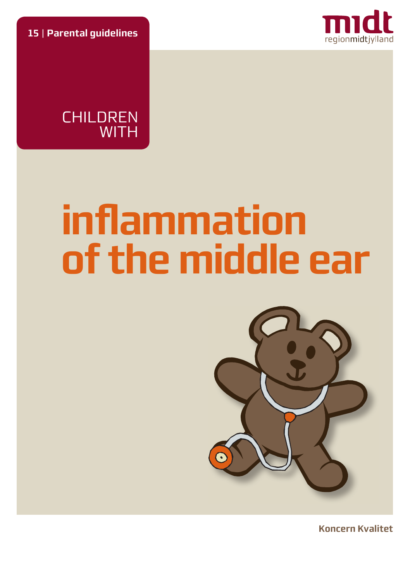**15** | **Parental guidelines**





# **infl ammation of the middle ear**



**Koncern Kvalitet**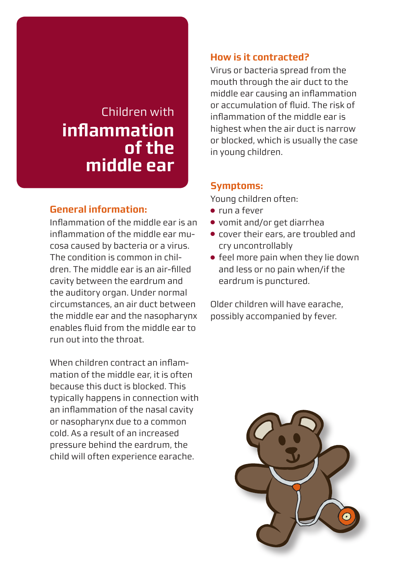# Children with **infl ammation of the middle ear**

#### **General information:**

Inflammation of the middle ear is an inflammation of the middle ear mucosa caused by bacteria or a virus. The condition is common in children. The middle ear is an air-filled cavity between the eardrum and the auditory organ. Under normal circumstances, an air duct between the middle ear and the nasopharynx enables fl uid from the middle ear to run out into the throat.

When children contract an inflammation of the middle ear, it is often because this duct is blocked. This typically happens in connection with an inflammation of the nasal cavity or nasopharynx due to a common cold. As a result of an increased pressure behind the eardrum, the child will often experience earache.

#### **How is it contracted?**

Virus or bacteria spread from the mouth through the air duct to the middle ear causing an inflammation or accumulation of fluid. The risk of inflammation of the middle ear is highest when the air duct is narrow or blocked, which is usually the case in young children.

#### **Symptoms:**

Young children often:

- run a fever
- vomit and/or get diarrhea
- cover their ears, are troubled and cry uncontrollably
- feel more pain when they lie down and less or no pain when/if the eardrum is punctured.

Older children will have earache, possibly accompanied by fever.

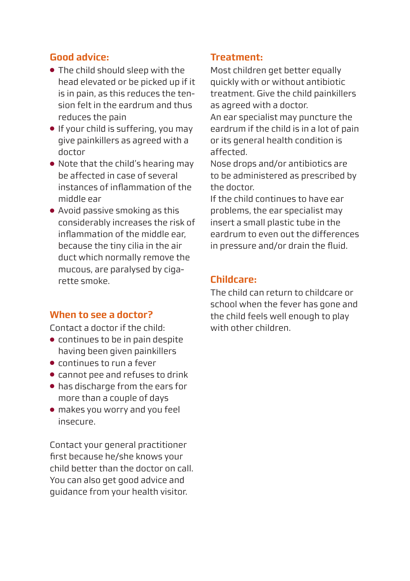# **Good advice:**

- The child should sleep with the head elevated or be picked up if it is in pain, as this reduces the tension felt in the eardrum and thus reduces the pain
- If your child is suffering, you may give painkillers as agreed with a doctor
- Note that the child's hearing may be affected in case of several instances of inflammation of the middle ear
- Avoid passive smoking as this considerably increases the risk of inflammation of the middle ear, because the tiny cilia in the air duct which normally remove the mucous, are paralysed by cigarette smoke.

#### **When to see a doctor?**

Contact a doctor if the child:

- continues to be in pain despite having been given painkillers
- continues to run a fever
- cannot pee and refuses to drink
- has discharge from the ears for more than a couple of days
- makes you worry and you feel insecure.

Contact your general practitioner first because he/she knows your child better than the doctor on call. You can also get good advice and guidance from your health visitor.

#### **Treatment:**

Most children get better equally quickly with or without antibiotic treatment. Give the child painkillers as agreed with a doctor. An ear specialist may puncture the eardrum if the child is in a lot of pain or its general health condition is affected.

Nose drops and/or antibiotics are to be administered as prescribed by the doctor.

If the child continues to have ear problems, the ear specialist may insert a small plastic tube in the eardrum to even out the differences in pressure and/or drain the fluid.

## **Childcare:**

The child can return to childcare or school when the fever has gone and the child feels well enough to play with other children.